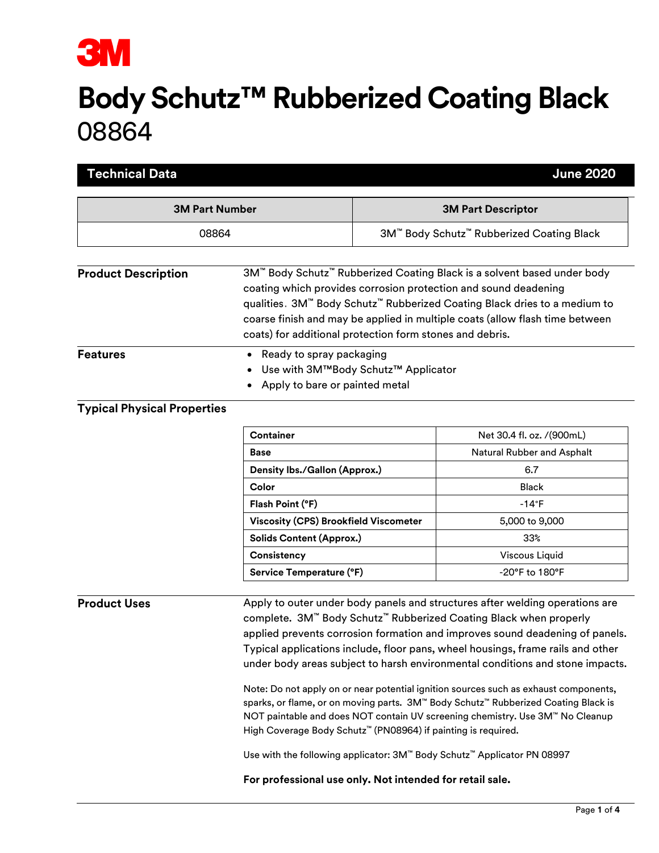

# **Body Schutz™ Rubberized Coating Black** 08864

| <b>Technical Data</b>              |                                                                                                                                       | <b>June 2020</b>          |                                                                                                                                                                                                                                                                                                                                                                                                                                                                                                                                                                                                                                                                                                                                                                         |  |
|------------------------------------|---------------------------------------------------------------------------------------------------------------------------------------|---------------------------|-------------------------------------------------------------------------------------------------------------------------------------------------------------------------------------------------------------------------------------------------------------------------------------------------------------------------------------------------------------------------------------------------------------------------------------------------------------------------------------------------------------------------------------------------------------------------------------------------------------------------------------------------------------------------------------------------------------------------------------------------------------------------|--|
| <b>3M Part Number</b>              |                                                                                                                                       | <b>3M Part Descriptor</b> |                                                                                                                                                                                                                                                                                                                                                                                                                                                                                                                                                                                                                                                                                                                                                                         |  |
| 08864                              |                                                                                                                                       |                           | 3M <sup>™</sup> Body Schutz <sup>™</sup> Rubberized Coating Black                                                                                                                                                                                                                                                                                                                                                                                                                                                                                                                                                                                                                                                                                                       |  |
| <b>Product Description</b>         | coats) for additional protection form stones and debris.                                                                              |                           | 3M™ Body Schutz™ Rubberized Coating Black is a solvent based under body<br>coating which provides corrosion protection and sound deadening<br>qualities. 3M™ Body Schutz™ Rubberized Coating Black dries to a medium to<br>coarse finish and may be applied in multiple coats (allow flash time between                                                                                                                                                                                                                                                                                                                                                                                                                                                                 |  |
| <b>Features</b>                    | Ready to spray packaging<br>٠<br>Use with 3M™Body Schutz™ Applicator<br>Apply to bare or painted metal<br>٠                           |                           |                                                                                                                                                                                                                                                                                                                                                                                                                                                                                                                                                                                                                                                                                                                                                                         |  |
| <b>Typical Physical Properties</b> |                                                                                                                                       |                           |                                                                                                                                                                                                                                                                                                                                                                                                                                                                                                                                                                                                                                                                                                                                                                         |  |
|                                    | <b>Container</b>                                                                                                                      |                           | Net 30.4 fl. oz. /(900mL)                                                                                                                                                                                                                                                                                                                                                                                                                                                                                                                                                                                                                                                                                                                                               |  |
|                                    | <b>Base</b>                                                                                                                           |                           | Natural Rubber and Asphalt                                                                                                                                                                                                                                                                                                                                                                                                                                                                                                                                                                                                                                                                                                                                              |  |
|                                    | Density Ibs./Gallon (Approx.)                                                                                                         |                           | 6.7                                                                                                                                                                                                                                                                                                                                                                                                                                                                                                                                                                                                                                                                                                                                                                     |  |
|                                    | Color                                                                                                                                 |                           | Black                                                                                                                                                                                                                                                                                                                                                                                                                                                                                                                                                                                                                                                                                                                                                                   |  |
|                                    | Flash Point (°F)                                                                                                                      |                           | -14°F                                                                                                                                                                                                                                                                                                                                                                                                                                                                                                                                                                                                                                                                                                                                                                   |  |
|                                    | <b>Viscosity (CPS) Brookfield Viscometer</b>                                                                                          |                           | 5,000 to 9,000                                                                                                                                                                                                                                                                                                                                                                                                                                                                                                                                                                                                                                                                                                                                                          |  |
|                                    | <b>Solids Content (Approx.)</b>                                                                                                       |                           | 33%                                                                                                                                                                                                                                                                                                                                                                                                                                                                                                                                                                                                                                                                                                                                                                     |  |
|                                    | Consistency                                                                                                                           |                           | Viscous Liquid                                                                                                                                                                                                                                                                                                                                                                                                                                                                                                                                                                                                                                                                                                                                                          |  |
|                                    | Service Temperature (°F)                                                                                                              |                           | -20°F to 180°F                                                                                                                                                                                                                                                                                                                                                                                                                                                                                                                                                                                                                                                                                                                                                          |  |
| <b>Product Uses</b>                | High Coverage Body Schutz <sup>™</sup> (PN08964) if painting is required.<br>For professional use only. Not intended for retail sale. |                           | Apply to outer under body panels and structures after welding operations are<br>complete. 3M <sup>™</sup> Body Schutz <sup>™</sup> Rubberized Coating Black when properly<br>applied prevents corrosion formation and improves sound deadening of panels.<br>Typical applications include, floor pans, wheel housings, frame rails and other<br>under body areas subject to harsh environmental conditions and stone impacts.<br>Note: Do not apply on or near potential ignition sources such as exhaust components,<br>sparks, or flame, or on moving parts. 3M™ Body Schutz™ Rubberized Coating Black is<br>NOT paintable and does NOT contain UV screening chemistry. Use 3M™ No Cleanup<br>Use with the following applicator: 3M™ Body Schutz™ Applicator PN 08997 |  |
|                                    |                                                                                                                                       |                           |                                                                                                                                                                                                                                                                                                                                                                                                                                                                                                                                                                                                                                                                                                                                                                         |  |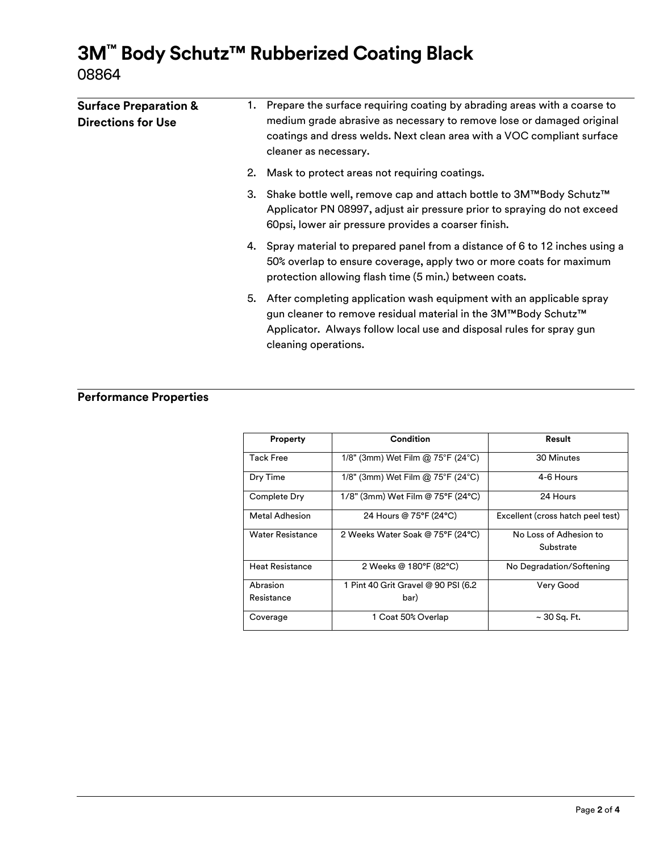## **3M™ Body Schutz™ Rubberized Coating Black**

08864

| <b>Surface Preparation &amp;</b> | 1. Prepare the surface requiring coating by abrading areas with a coarse to                                                                                                                                                               |
|----------------------------------|-------------------------------------------------------------------------------------------------------------------------------------------------------------------------------------------------------------------------------------------|
| <b>Directions for Use</b>        | medium grade abrasive as necessary to remove lose or damaged original<br>coatings and dress welds. Next clean area with a VOC compliant surface<br>cleaner as necessary.                                                                  |
|                                  | 2. Mask to protect areas not requiring coatings.                                                                                                                                                                                          |
|                                  | 3. Shake bottle well, remove cap and attach bottle to 3M™Body Schutz™<br>Applicator PN 08997, adjust air pressure prior to spraying do not exceed<br>60psi, lower air pressure provides a coarser finish.                                 |
|                                  | 4. Spray material to prepared panel from a distance of 6 to 12 inches using a<br>50% overlap to ensure coverage, apply two or more coats for maximum<br>protection allowing flash time (5 min.) between coats.                            |
|                                  | 5. After completing application wash equipment with an applicable spray<br>gun cleaner to remove residual material in the 3M™Body Schutz™<br>Applicator. Always follow local use and disposal rules for spray gun<br>cleaning operations. |

#### **Performance Properties**

| Property                | Condition                                              | Result                            |  |  |
|-------------------------|--------------------------------------------------------|-----------------------------------|--|--|
| <b>Tack Free</b>        | 1/8" (3mm) Wet Film @ $75^{\circ}$ F (24 $^{\circ}$ C) | 30 Minutes                        |  |  |
| Dry Time                | 1/8" (3mm) Wet Film @ 75°F (24°C)                      | 4-6 Hours                         |  |  |
| Complete Dry            | 1/8" (3mm) Wet Film @ 75°F (24°C)                      | 24 Hours                          |  |  |
| <b>Metal Adhesion</b>   | 24 Hours @ 75°F (24°C)                                 | Excellent (cross hatch peel test) |  |  |
| <b>Water Resistance</b> | 2 Weeks Water Soak @ 75°F (24°C)                       | No Loss of Adhesion to            |  |  |
|                         |                                                        | Substrate                         |  |  |
| <b>Heat Resistance</b>  | 2 Weeks @ 180°F (82°C)                                 | No Degradation/Softening          |  |  |
| Abrasion                | 1 Pint 40 Grit Gravel @ 90 PSI (6.2                    | Very Good                         |  |  |
| Resistance              | bar)                                                   |                                   |  |  |
| Coverage                | 1 Coat 50% Overlap                                     | $\sim$ 30 Sq. Ft.                 |  |  |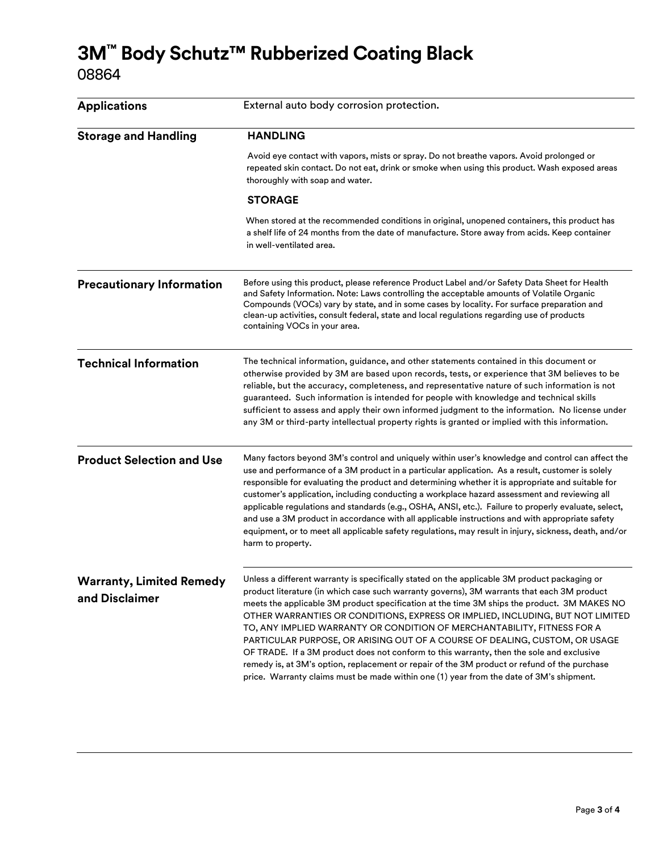### **3M™ Body Schutz™ Rubberized Coating Black**

08864

| <b>Applications</b>                               | External auto body corrosion protection.                                                                                                                                                                                                                                                                                                                                                                                                                                                                                                                                                                                                                                                                                                                                                                                     |  |  |  |
|---------------------------------------------------|------------------------------------------------------------------------------------------------------------------------------------------------------------------------------------------------------------------------------------------------------------------------------------------------------------------------------------------------------------------------------------------------------------------------------------------------------------------------------------------------------------------------------------------------------------------------------------------------------------------------------------------------------------------------------------------------------------------------------------------------------------------------------------------------------------------------------|--|--|--|
| <b>Storage and Handling</b>                       | <b>HANDLING</b>                                                                                                                                                                                                                                                                                                                                                                                                                                                                                                                                                                                                                                                                                                                                                                                                              |  |  |  |
|                                                   | Avoid eye contact with vapors, mists or spray. Do not breathe vapors. Avoid prolonged or<br>repeated skin contact. Do not eat, drink or smoke when using this product. Wash exposed areas<br>thoroughly with soap and water.<br><b>STORAGE</b>                                                                                                                                                                                                                                                                                                                                                                                                                                                                                                                                                                               |  |  |  |
|                                                   |                                                                                                                                                                                                                                                                                                                                                                                                                                                                                                                                                                                                                                                                                                                                                                                                                              |  |  |  |
|                                                   | When stored at the recommended conditions in original, unopened containers, this product has<br>a shelf life of 24 months from the date of manufacture. Store away from acids. Keep container<br>in well-ventilated area.                                                                                                                                                                                                                                                                                                                                                                                                                                                                                                                                                                                                    |  |  |  |
| <b>Precautionary Information</b>                  | Before using this product, please reference Product Label and/or Safety Data Sheet for Health<br>and Safety Information. Note: Laws controlling the acceptable amounts of Volatile Organic<br>Compounds (VOCs) vary by state, and in some cases by locality. For surface preparation and<br>clean-up activities, consult federal, state and local regulations regarding use of products<br>containing VOCs in your area.                                                                                                                                                                                                                                                                                                                                                                                                     |  |  |  |
| <b>Technical Information</b>                      | The technical information, guidance, and other statements contained in this document or<br>otherwise provided by 3M are based upon records, tests, or experience that 3M believes to be<br>reliable, but the accuracy, completeness, and representative nature of such information is not<br>guaranteed. Such information is intended for people with knowledge and technical skills<br>sufficient to assess and apply their own informed judgment to the information. No license under<br>any 3M or third-party intellectual property rights is granted or implied with this information.                                                                                                                                                                                                                                   |  |  |  |
| <b>Product Selection and Use</b>                  | Many factors beyond 3M's control and uniquely within user's knowledge and control can affect the<br>use and performance of a 3M product in a particular application. As a result, customer is solely<br>responsible for evaluating the product and determining whether it is appropriate and suitable for<br>customer's application, including conducting a workplace hazard assessment and reviewing all<br>applicable regulations and standards (e.g., OSHA, ANSI, etc.). Failure to properly evaluate, select,<br>and use a 3M product in accordance with all applicable instructions and with appropriate safety<br>equipment, or to meet all applicable safety regulations, may result in injury, sickness, death, and/or<br>harm to property.                                                                          |  |  |  |
| <b>Warranty, Limited Remedy</b><br>and Disclaimer | Unless a different warranty is specifically stated on the applicable 3M product packaging or<br>product literature (in which case such warranty governs), 3M warrants that each 3M product<br>meets the applicable 3M product specification at the time 3M ships the product. 3M MAKES NO<br>OTHER WARRANTIES OR CONDITIONS, EXPRESS OR IMPLIED, INCLUDING, BUT NOT LIMITED<br>TO, ANY IMPLIED WARRANTY OR CONDITION OF MERCHANTABILITY, FITNESS FOR A<br>PARTICULAR PURPOSE, OR ARISING OUT OF A COURSE OF DEALING, CUSTOM, OR USAGE<br>OF TRADE. If a 3M product does not conform to this warranty, then the sole and exclusive<br>remedy is, at 3M's option, replacement or repair of the 3M product or refund of the purchase<br>price. Warranty claims must be made within one (1) year from the date of 3M's shipment. |  |  |  |